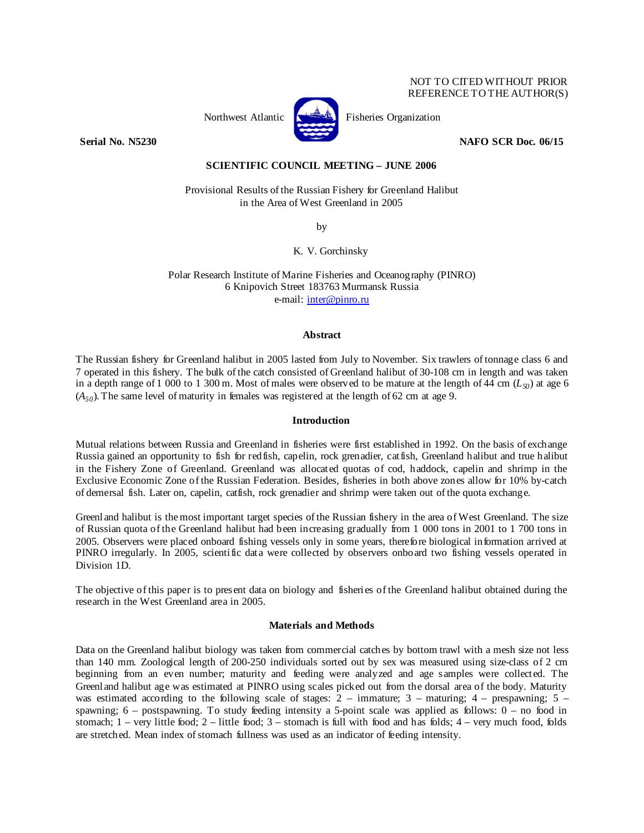## NOT TO CITED WITHOUT PRIOR REFERENCE TO THE AUTHOR(S)



Northwest Atlantic Fisheries Organization

**Serial No. N5230 NAFO SCR Doc. 06/15** 

# **SCIENTIFIC COUNCIL MEETING – JUNE 2006**

Provisional Results of the Russian Fishery for Greenland Halibut in the Area of West Greenland in 2005

by

K. V. Gorchinsky

Polar Research Institute of Marine Fisheries and Oceanography (PINRO) 6 Knipovich Street 183763 Murmansk Russia e-mail: inter@pinro.ru

#### **Abstract**

The Russian fishery for Greenland halibut in 2005 lasted from July to November. Six trawlers of tonnage class 6 and 7 operated in this fishery. The bulk of the catch consisted of Greenland halibut of 30-108 cm in length and was taken in a depth range of 1 000 to 1 300 m. Most of males were observed to be mature at the length of 44 cm  $(L_{50})$  at age 6  $(A_{50})$ . The same level of maturity in females was registered at the length of 62 cm at age 9.

## **Introduction**

Mutual relations between Russia and Greenland in fisheries were first established in 1992. On the basis of exchange Russia gained an opportunity to fish for redfish, capelin, rock grenadier, catfish, Greenland halibut and true halibut in the Fishery Zone of Greenland. Greenland was allocated quotas of cod, haddock, capelin and shrimp in the Exclusive Economic Zone of the Russian Federation. Besides, fisheries in both above zones allow for 10% by-catch of demersal fish. Later on, capelin, catfish, rock grenadier and shrimp were taken out of the quota exchange.

Greenland halibut is the most important target species of the Russian fishery in the area of West Greenland. The size of Russian quota of the Greenland halibut had been increasing gradually from 1 000 tons in 2001 to 1 700 tons in 2005. Observers were placed onboard fishing vessels only in some years, therefore biological information arrived at PINRO irregularly. In 2005, scientific data were collected by observers onboard two fishing vessels operated in Division 1D.

The objective of this paper is to present data on biology and fisheries of the Greenland halibut obtained during the research in the West Greenland area in 2005.

# **Materials and Methods**

Data on the Greenland halibut biology was taken from commercial catches by bottom trawl with a mesh size not less than 140 mm. Zoological length of 200-250 individuals sorted out by sex was measured using size-class of 2 cm beginning from an even number; maturity and feeding were analyzed and age samples were collected. The Greenland halibut age was estimated at PINRO using scales picked out from the dorsal area of the body. Maturity was estimated according to the following scale of stages:  $2 - \text{immuture}$ ;  $3 - \text{maturing}$ ;  $4 - \text{prespawning}$ ;  $5 - \text{immuture}$ spawning;  $6 -$  postspawning. To study feeding intensity a 5-point scale was applied as follows:  $0 -$  no food in stomach;  $1$  – very little food;  $2$  – little food;  $3$  – stomach is full with food and has folds;  $4$  – very much food, folds are stretched. Mean index of stomach fullness was used as an indicator of feeding intensity.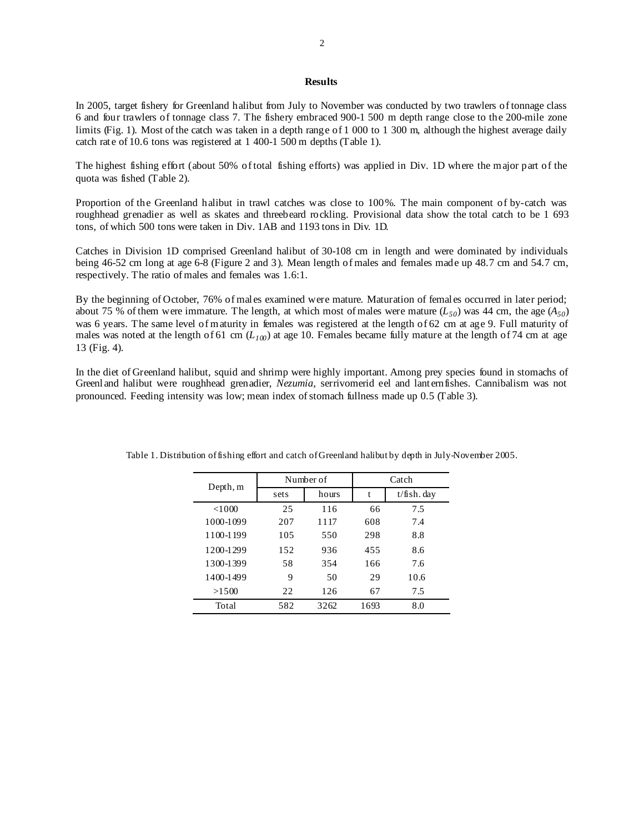## **Results**

In 2005, target fishery for Greenland halibut from July to November was conducted by two trawlers of tonnage class 6 and four trawlers of tonnage class 7. The fishery embraced 900-1 500 m depth range close to the 200-mile zone limits (Fig. 1). Most of the catch was taken in a depth range of 1 000 to 1 300 m, although the highest average daily catch rate of 10.6 tons was registered at 1 400-1 500 m depths (Table 1).

The highest fishing effort (about 50% of total fishing efforts) was applied in Div. 1D where the major part of the quota was fished (Table 2).

Proportion of the Greenland halibut in trawl catches was close to 100%. The main component of by-catch was roughhead grenadier as well as skates and threebeard rockling. Provisional data show the total catch to be 1 693 tons, of which 500 tons were taken in Div. 1AB and 1193 tons in Div. 1D.

Catches in Division 1D comprised Greenland halibut of 30-108 cm in length and were dominated by individuals being 46-52 cm long at age 6-8 (Figure 2 and 3). Mean length of males and females made up 48.7 cm and 54.7 cm, respectively. The ratio of males and females was 1.6:1.

By the beginning of October, 76% of males examined were mature. Maturation of females occurred in later period; about 75 % of them were immature. The length, at which most of males were mature  $(L_{50})$  was 44 cm, the age  $(A_{50})$ was 6 years. The same level of maturity in females was registered at the length of 62 cm at age 9. Full maturity of males was noted at the length of 61 cm  $(L_{100})$  at age 10. Females became fully mature at the length of 74 cm at age 13 (Fig. 4).

In the diet of Greenland halibut, squid and shrimp were highly important. Among prey species found in stomachs of Greenland halibut were roughhead grenadier, *Nezumia*, serrivomerid eel and lanternfishes. Cannibalism was not pronounced. Feeding intensity was low; mean index of stomach fullness made up 0.5 (Table 3).

| Depth, m  |      | Number of | Catch |               |  |
|-----------|------|-----------|-------|---------------|--|
|           | sets | hours     | t     | $t/fish.$ day |  |
| < 1000    | 25   | 116       | 66    | 7.5           |  |
| 1000-1099 | 207  | 1117      | 608   | 7.4           |  |
| 1100-1199 | 105  | 550       | 298   | 8.8           |  |
| 1200-1299 | 152  | 936       | 455   | 8.6           |  |
| 1300-1399 | 58   | 354       | 166   | 7.6           |  |
| 1400-1499 | 9    | 50        | 29    | 10.6          |  |
| >1500     | 22   | 126       | 67    | 7.5           |  |
| Total     | 582  | 3262      | 1693  | 8.0           |  |

Table 1. Distribution of fishing effort and catch of Greenland halibut by depth in July-November 2005.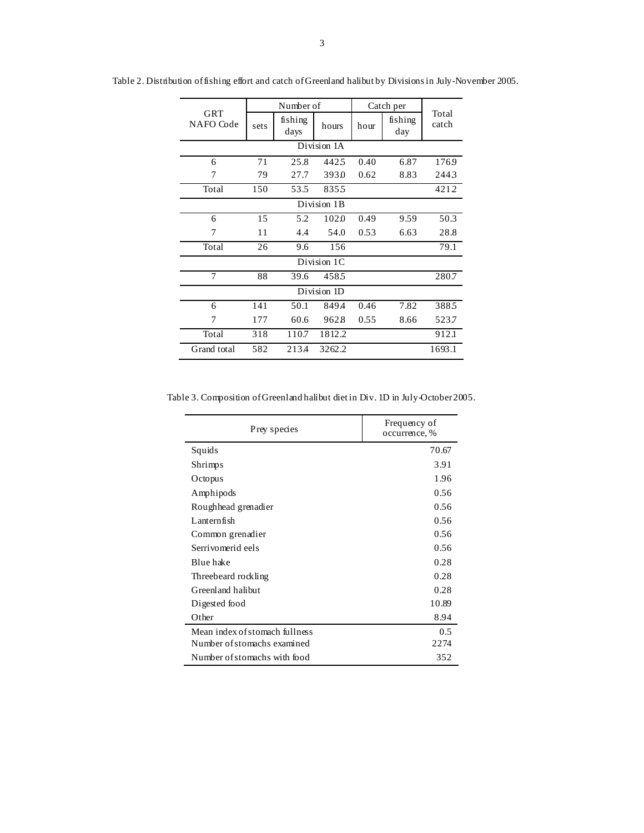|                  | Number of |                 |        | Catch per |                |                |  |  |  |
|------------------|-----------|-----------------|--------|-----------|----------------|----------------|--|--|--|
| GRT<br>NAFO Code | sets      | fishing<br>days | hours  | hour      | fishing<br>day | Total<br>catch |  |  |  |
| Division 1A      |           |                 |        |           |                |                |  |  |  |
| 6                | 71        | 25.8            | 4425   | 0.40      | 6.87           | 1769           |  |  |  |
| 7                | 79        | 27.7            | 393.0  | 0.62      | 8.83           | 2443           |  |  |  |
| Total            | 150       | 53.5            | 8355   |           |                | 4212           |  |  |  |
| Division 1B      |           |                 |        |           |                |                |  |  |  |
| 6                | 15        | 5.2             | 102.0  | 0.49      | 9.59           | 50.3           |  |  |  |
| 7                | 11        | 4.4             | 54.0   | 0.53      | 6.63           | 28.8           |  |  |  |
| Total            | 26        | 9.6             | 156    |           |                | 79.1           |  |  |  |
| Division 1C      |           |                 |        |           |                |                |  |  |  |
| $\overline{7}$   | 88        | 39.6            | 4585   |           |                | 280.7          |  |  |  |
| Division 1D      |           |                 |        |           |                |                |  |  |  |
| 6                | 141       | 50.1            | 849.4  | 0.46      | 7.82           | 3885           |  |  |  |
| 7                | 177       | 60.6            | 9628   | 0.55      | 8.66           | 523.7          |  |  |  |
| Total            | 318       | 110.7           | 1812.2 |           |                | 912.1          |  |  |  |
| Grand total      | 582       | 213.4           | 3262.2 |           |                | 1693.1         |  |  |  |

Table 2. Distribution of fishing effort and catch of Greenland halibut by Divisions in July-November 2005.

Table 3. Composition of Greenland halibut diet in Div. 1D in July-October 2005.

| Prey species                   | Frequency of<br>occurrence, % |
|--------------------------------|-------------------------------|
| Squids                         | 70.67                         |
| Shrimps                        | 3.91                          |
| Octopus                        | 1.96                          |
| Amphipods                      | 0.56                          |
| Roughhead grenadier            | 0.56                          |
| Lanternfish                    | 0.56                          |
| Common grenadier               | 0.56                          |
| Serrivomerid eels              | 0.56                          |
| Blue hake                      | 0.28                          |
| Threebeard rockling            | 0.28                          |
| Greenland halibut              | 0.28                          |
| Digested food                  | 10.89                         |
| Other                          | 8.94                          |
| Mean index of stomach fullness | 0.5                           |
| Number of stomachs examined    | 2274                          |
| Number of stomachs with food   | 352                           |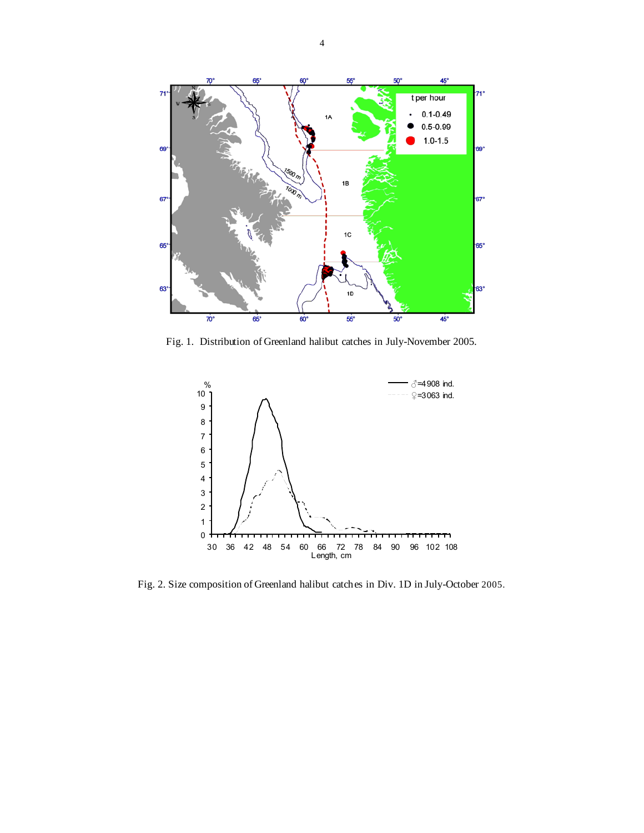

Fig. 1. Distribution of Greenland halibut catches in July-November 2005.



Fig. 2. Size composition of Greenland halibut catches in Div. 1D in July-October 2005.